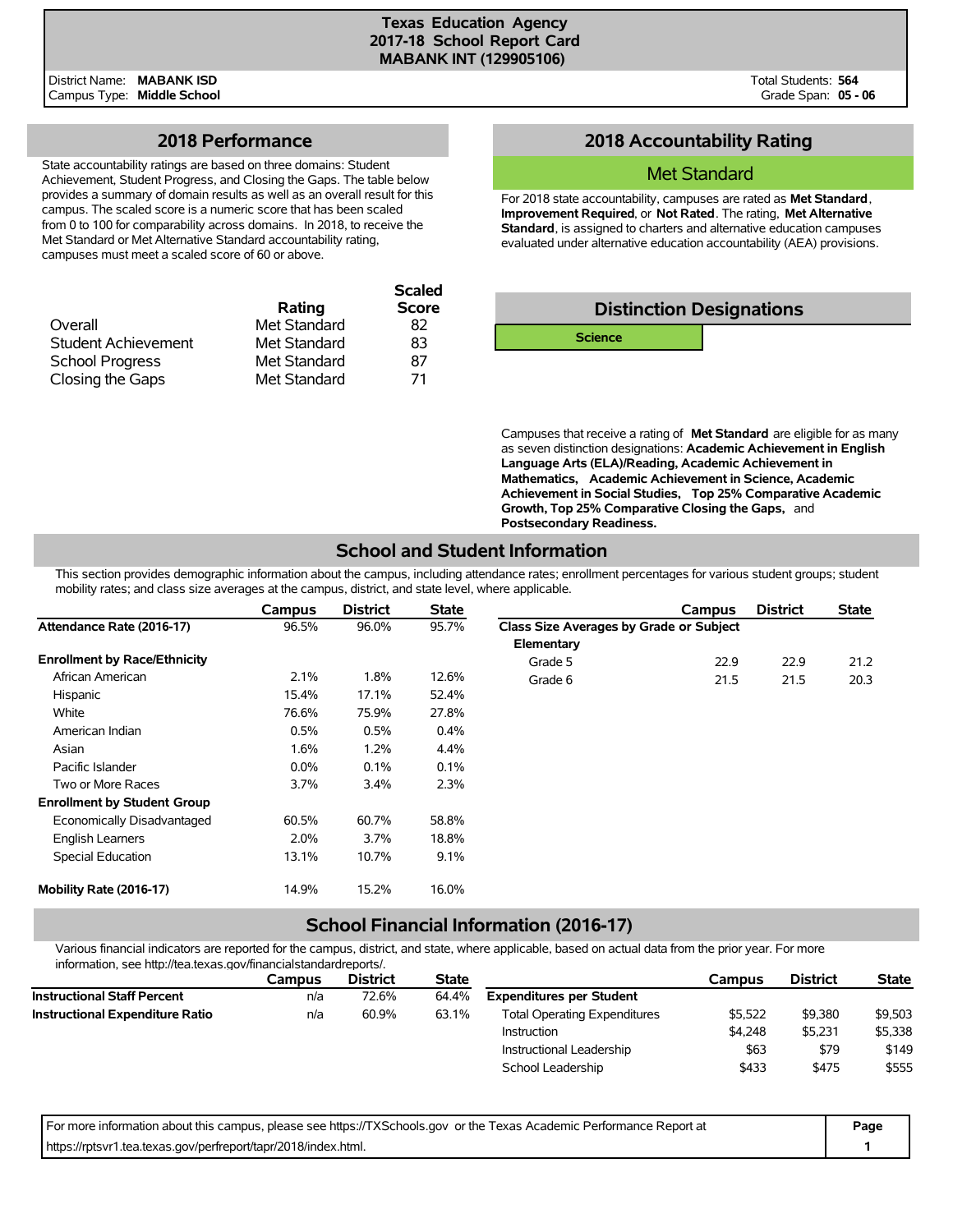**Scaled**

District Name: **MABANK ISD** Campus Type: **Middle School** Total Students: **564** Grade Span: **05 - 06**

# **2018 Performance**

State accountability ratings are based on three domains: Student Achievement, Student Progress, and Closing the Gaps. The table below provides a summary of domain results as well as an overall result for this campus. The scaled score is a numeric score that has been scaled from 0 to 100 for comparability across domains. In 2018, to receive the Met Standard or Met Alternative Standard accountability rating, campuses must meet a scaled score of 60 or above.

|              | <b>Scaled</b> |
|--------------|---------------|
| Rating       | <b>Score</b>  |
| Met Standard | 82            |
| Met Standard | 83            |
| Met Standard | 87            |
| Met Standard | 71            |
|              |               |

# **2018 Accountability Rating**

### Met Standard

For 2018 state accountability, campuses are rated as **Met Standard**, **Improvement Required**, or **Not Rated**. The rating, **Met Alternative Standard**, is assigned to charters and alternative education campuses evaluated under alternative education accountability (AEA) provisions.



Campuses that receive a rating of **Met Standard** are eligible for as many as seven distinction designations: **Academic Achievement in English Language Arts (ELA)/Reading, Academic Achievement in Mathematics, Academic Achievement in Science, Academic Achievement in Social Studies, Top 25% Comparative Academic Growth, Top 25% Comparative Closing the Gaps,** and **Postsecondary Readiness.**

# **School and Student Information**

This section provides demographic information about the campus, including attendance rates; enrollment percentages for various student groups; student mobility rates; and class size averages at the campus, district, and state level, where applicable.

|                                     | Campus  | <b>District</b> | <b>State</b> |                                         | Campus | <b>District</b> | <b>State</b> |
|-------------------------------------|---------|-----------------|--------------|-----------------------------------------|--------|-----------------|--------------|
| Attendance Rate (2016-17)           | 96.5%   | 96.0%           | 95.7%        | Class Size Averages by Grade or Subject |        |                 |              |
|                                     |         |                 |              | Elementary                              |        |                 |              |
| <b>Enrollment by Race/Ethnicity</b> |         |                 |              | Grade 5                                 | 22.9   | 22.9            | 21.2         |
| African American                    | 2.1%    | 1.8%            | 12.6%        | Grade 6                                 | 21.5   | 21.5            | 20.3         |
| Hispanic                            | 15.4%   | 17.1%           | 52.4%        |                                         |        |                 |              |
| White                               | 76.6%   | 75.9%           | 27.8%        |                                         |        |                 |              |
| American Indian                     | 0.5%    | 0.5%            | $0.4\%$      |                                         |        |                 |              |
| Asian                               | 1.6%    | 1.2%            | 4.4%         |                                         |        |                 |              |
| Pacific Islander                    | $0.0\%$ | 0.1%            | 0.1%         |                                         |        |                 |              |
| Two or More Races                   | $3.7\%$ | 3.4%            | 2.3%         |                                         |        |                 |              |
| <b>Enrollment by Student Group</b>  |         |                 |              |                                         |        |                 |              |
| Economically Disadvantaged          | 60.5%   | 60.7%           | 58.8%        |                                         |        |                 |              |
| <b>English Learners</b>             | 2.0%    | 3.7%            | 18.8%        |                                         |        |                 |              |
| Special Education                   | 13.1%   | 10.7%           | 9.1%         |                                         |        |                 |              |
| Mobility Rate (2016-17)             | 14.9%   | 15.2%           | 16.0%        |                                         |        |                 |              |

# **School Financial Information (2016-17)**

Various financial indicators are reported for the campus, district, and state, where applicable, based on actual data from the prior year. For more information, see http://tea.texas.gov/financialstandardreports/.

|                                        | Campus | <b>District</b> | <b>State</b> |                                     | Campus  | <b>District</b> | <b>State</b> |
|----------------------------------------|--------|-----------------|--------------|-------------------------------------|---------|-----------------|--------------|
| <b>Instructional Staff Percent</b>     | n/a    | 72.6%           | 64.4%        | <b>Expenditures per Student</b>     |         |                 |              |
| <b>Instructional Expenditure Ratio</b> | n/a    | 60.9%           | 63.1%        | <b>Total Operating Expenditures</b> | \$5.522 | \$9,380         | \$9,503      |
|                                        |        |                 |              | Instruction                         | \$4.248 | \$5.231         | \$5,338      |
|                                        |        |                 |              | Instructional Leadership            | \$63    | \$79            | \$149        |
|                                        |        |                 |              | School Leadership                   | \$433   | \$475           | \$555        |

| For more information about this campus, please see https://TXSchools.gov or the Texas Academic Performance Report at | Page |
|----------------------------------------------------------------------------------------------------------------------|------|
| https://rptsvr1.tea.texas.gov/perfreport/tapr/2018/index.html.                                                       |      |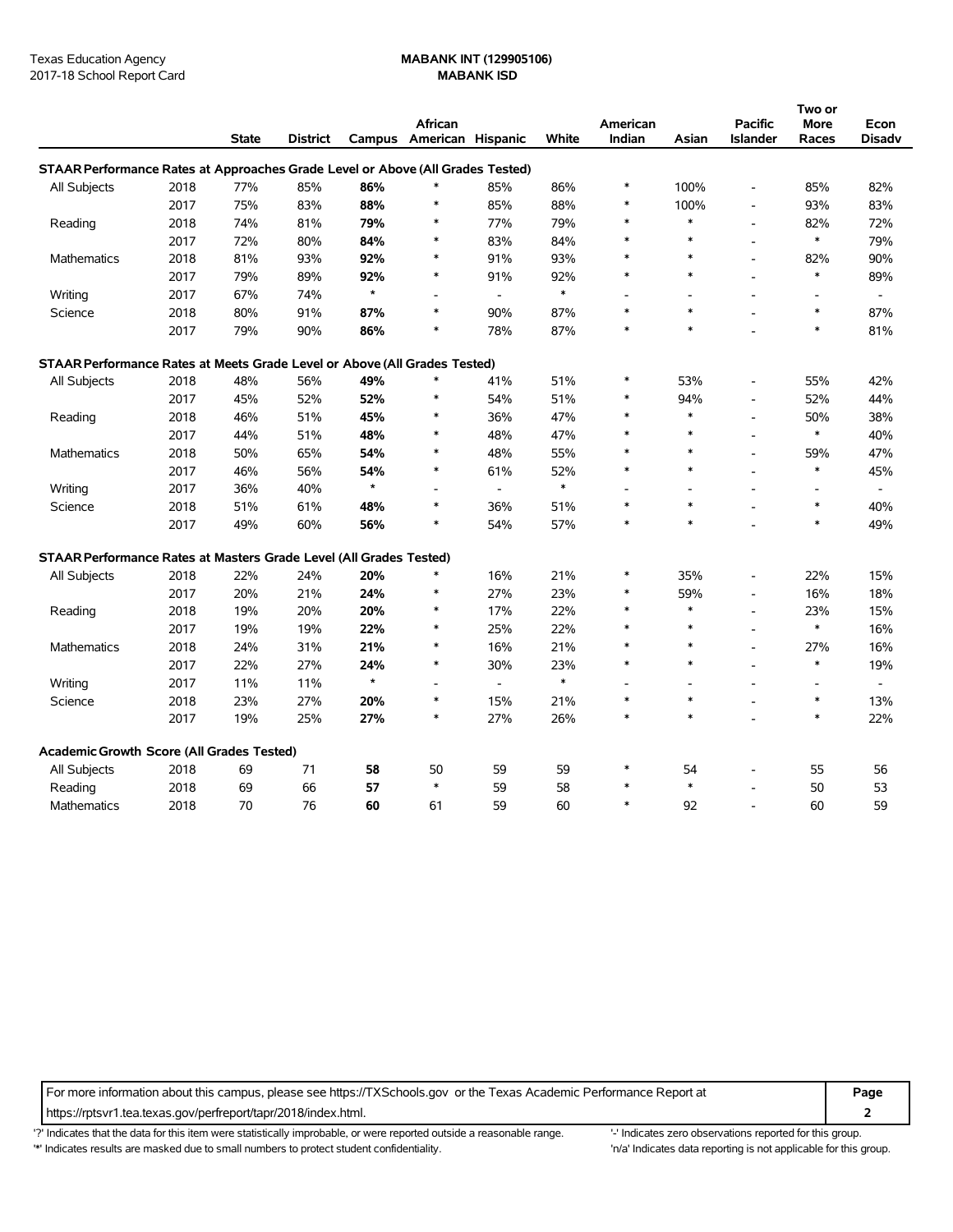|                                                                                |      |              |          |         |                              |                          |        |          |        |                          | Two or                   |                          |
|--------------------------------------------------------------------------------|------|--------------|----------|---------|------------------------------|--------------------------|--------|----------|--------|--------------------------|--------------------------|--------------------------|
|                                                                                |      |              |          |         | African                      |                          |        | American |        | <b>Pacific</b>           | More                     | Econ                     |
|                                                                                |      | <b>State</b> | District |         | Campus American Hispanic     |                          | White  | Indian   | Asian  | <b>Islander</b>          | Races                    | Disadv                   |
| STAAR Performance Rates at Approaches Grade Level or Above (All Grades Tested) |      |              |          |         |                              |                          |        |          |        |                          |                          |                          |
| All Subjects                                                                   | 2018 | 77%          | 85%      | 86%     | $\ast$                       | 85%                      | 86%    | ∗        | 100%   | $\overline{a}$           | 85%                      | 82%                      |
|                                                                                | 2017 | 75%          | 83%      | 88%     | $\ast$                       | 85%                      | 88%    | $\ast$   | 100%   | $\overline{a}$           | 93%                      | 83%                      |
| Reading                                                                        | 2018 | 74%          | 81%      | 79%     | $\ast$                       | 77%                      | 79%    | $\ast$   | $\ast$ | $\blacksquare$           | 82%                      | 72%                      |
|                                                                                | 2017 | 72%          | 80%      | 84%     | $\ast$                       | 83%                      | 84%    |          | $\ast$ | $\overline{a}$           | $\ast$                   | 79%                      |
| Mathematics                                                                    | 2018 | 81%          | 93%      | 92%     | $\ast$                       | 91%                      | 93%    | $\ast$   | $\ast$ | $\overline{a}$           | 82%                      | 90%                      |
|                                                                                | 2017 | 79%          | 89%      | 92%     | $\ast$                       | 91%                      | 92%    | $\ast$   | $\ast$ |                          | $\ast$                   | 89%                      |
| Writing                                                                        | 2017 | 67%          | 74%      | $\star$ |                              | $\blacksquare$           | $\ast$ |          | ٠      | $\overline{a}$           | $\overline{\phantom{a}}$ | $\overline{\phantom{a}}$ |
| Science                                                                        | 2018 | 80%          | 91%      | 87%     | $\ast$                       | 90%                      | 87%    | $\ast$   | $\ast$ | $\overline{a}$           | $\ast$                   | 87%                      |
|                                                                                | 2017 | 79%          | 90%      | 86%     | $\ast$                       | 78%                      | 87%    | $\ast$   | $\ast$ |                          | $\ast$                   | 81%                      |
| STAAR Performance Rates at Meets Grade Level or Above (All Grades Tested)      |      |              |          |         |                              |                          |        |          |        |                          |                          |                          |
| All Subjects                                                                   | 2018 | 48%          | 56%      | 49%     | $\ast$                       | 41%                      | 51%    | $\ast$   | 53%    | $\overline{a}$           | 55%                      | 42%                      |
|                                                                                | 2017 | 45%          | 52%      | 52%     | $\ast$                       | 54%                      | 51%    | ∗        | 94%    | $\overline{a}$           | 52%                      | 44%                      |
| Reading                                                                        | 2018 | 46%          | 51%      | 45%     | $\ast$                       | 36%                      | 47%    | ∗        | $\ast$ | $\overline{a}$           | 50%                      | 38%                      |
|                                                                                | 2017 | 44%          | 51%      | 48%     | $\ast$                       | 48%                      | 47%    | $\ast$   | $\ast$ | $\overline{a}$           | $\ast$                   | 40%                      |
| <b>Mathematics</b>                                                             | 2018 | 50%          | 65%      | 54%     | $\ast$                       | 48%                      | 55%    | $\ast$   | $\ast$ | $\overline{\phantom{a}}$ | 59%                      | 47%                      |
|                                                                                | 2017 | 46%          | 56%      | 54%     | $\ast$                       | 61%                      | 52%    | $\ast$   | $\ast$ | $\overline{a}$           | $\ast$                   | 45%                      |
| Writing                                                                        | 2017 | 36%          | 40%      | $\star$ | $\qquad \qquad \blacksquare$ | $\overline{\phantom{a}}$ | $\ast$ |          |        | $\overline{a}$           | $\overline{\phantom{a}}$ | $\overline{\phantom{a}}$ |
| Science                                                                        | 2018 | 51%          | 61%      | 48%     | $\ast$                       | 36%                      | 51%    | $\ast$   | $\ast$ |                          | $\ast$                   | 40%                      |
|                                                                                | 2017 | 49%          | 60%      | 56%     | $\ast$                       | 54%                      | 57%    | $\ast$   | $\ast$ |                          | $\ast$                   | 49%                      |
| STAAR Performance Rates at Masters Grade Level (All Grades Tested)             |      |              |          |         |                              |                          |        |          |        |                          |                          |                          |
| All Subjects                                                                   | 2018 | 22%          | 24%      | 20%     |                              | 16%                      | 21%    | ∗        | 35%    | $\overline{a}$           | 22%                      | 15%                      |
|                                                                                | 2017 | 20%          | 21%      | 24%     | $\ast$                       | 27%                      | 23%    | ∗        | 59%    | $\overline{\phantom{a}}$ | 16%                      | 18%                      |
| Reading                                                                        | 2018 | 19%          | 20%      | 20%     | $\ast$                       | 17%                      | 22%    | $\ast$   | $\ast$ | $\overline{a}$           | 23%                      | 15%                      |
|                                                                                | 2017 | 19%          | 19%      | 22%     | $\ast$                       | 25%                      | 22%    | ∗        | $\ast$ | $\overline{a}$           | $\ast$                   | 16%                      |
| Mathematics                                                                    | 2018 | 24%          | 31%      | 21%     | $\ast$                       | 16%                      | 21%    | $\ast$   | $\ast$ | L,                       | 27%                      | 16%                      |
|                                                                                | 2017 | 22%          | 27%      | 24%     | $\ast$                       | 30%                      | 23%    | $\ast$   | $\ast$ | $\overline{a}$           | $\ast$                   | 19%                      |
| Writing                                                                        | 2017 | 11%          | 11%      | $\star$ | $\overline{\phantom{a}}$     | $\overline{\phantom{a}}$ | $\ast$ |          | ÷,     | $\overline{a}$           | $\overline{\phantom{a}}$ |                          |
| Science                                                                        | 2018 | 23%          | 27%      | 20%     | $\ast$                       | 15%                      | 21%    | ∗        | $\ast$ | $\overline{\phantom{a}}$ | $\ast$                   | 13%                      |
|                                                                                | 2017 | 19%          | 25%      | 27%     | $\ast$                       | 27%                      | 26%    | $\ast$   | $\ast$ |                          | $\ast$                   | 22%                      |
| Academic Growth Score (All Grades Tested)                                      |      |              |          |         |                              |                          |        |          |        |                          |                          |                          |
| All Subjects                                                                   | 2018 | 69           | 71       | 58      | 50                           | 59                       | 59     | $\ast$   | 54     |                          | 55                       | 56                       |
| Reading                                                                        | 2018 | 69           | 66       | 57      | $\ast$                       | 59                       | 58     | $\ast$   | $\ast$ | $\overline{a}$           | 50                       | 53                       |
| Mathematics                                                                    | 2018 | 70           | 76       | 60      | 61                           | 59                       | 60     | $\ast$   | 92     | $\overline{a}$           | 60                       | 59                       |

For more information about this campus, please see https://TXSchools.gov or the Texas Academic Performance Report at **Page**

https://rptsvr1.tea.texas.gov/perfreport/tapr/2018/index.html. **2**

'?' Indicates that the data for this item were statistically improbable, or were reported outside a reasonable range. '' Indicates zero observations reported for this group.

'\*' Indicates results are masked due to small numbers to protect student confidentiality. 'n/a' Indicates data reporting is not applicable for this group.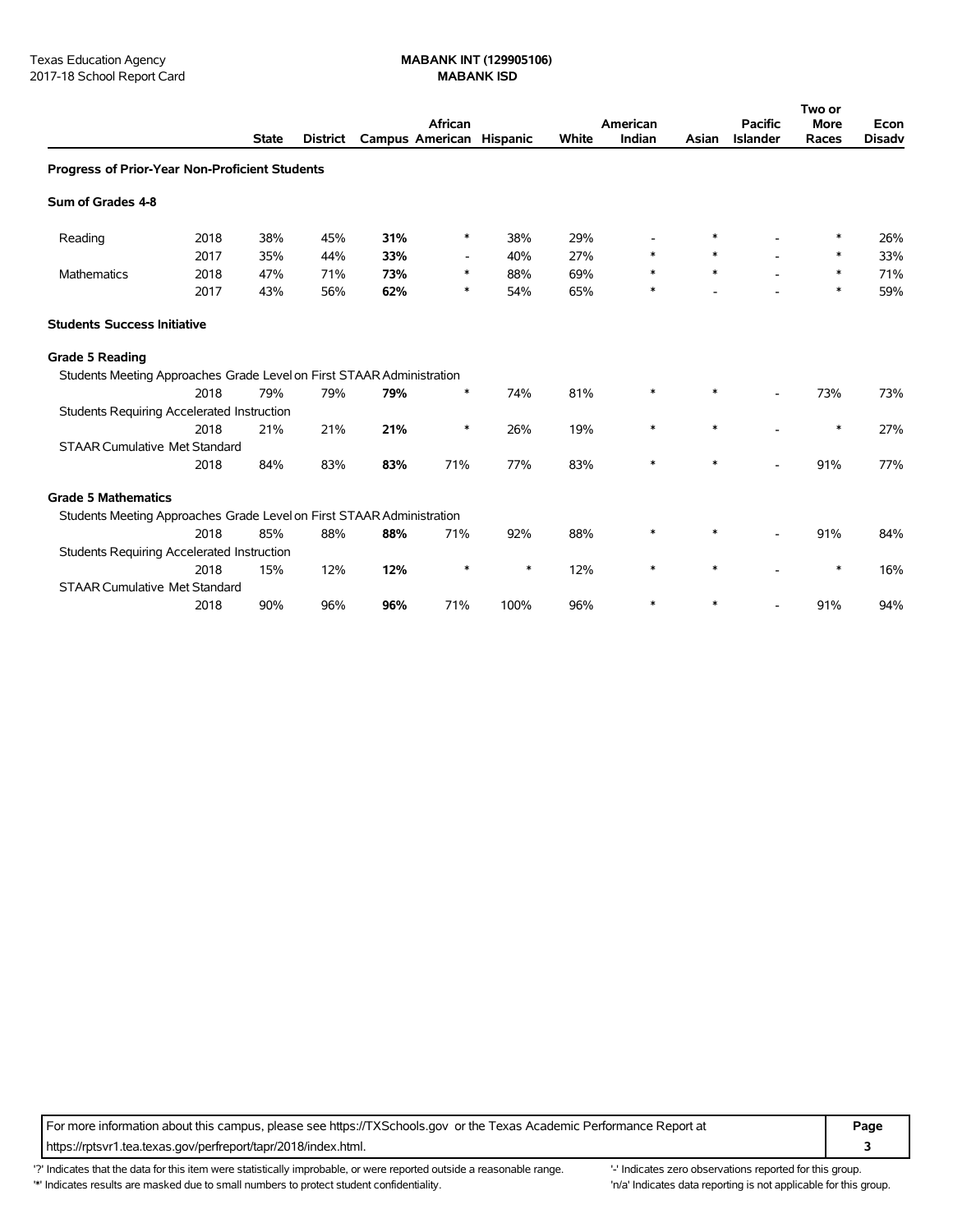|                                                                       |      |              |                 |                          | African                  |      |       | American |        | <b>Pacific</b>           | Two or<br><b>More</b> | Econ          |
|-----------------------------------------------------------------------|------|--------------|-----------------|--------------------------|--------------------------|------|-------|----------|--------|--------------------------|-----------------------|---------------|
|                                                                       |      | <b>State</b> | <b>District</b> | Campus American Hispanic |                          |      | White | Indian   | Asian  | <b>Islander</b>          | Races                 | <b>Disadv</b> |
| <b>Progress of Prior-Year Non-Proficient Students</b>                 |      |              |                 |                          |                          |      |       |          |        |                          |                       |               |
| Sum of Grades 4-8                                                     |      |              |                 |                          |                          |      |       |          |        |                          |                       |               |
| Reading                                                               | 2018 | 38%          | 45%             | 31%                      | ∗                        | 38%  | 29%   |          | ∗      |                          | ∗                     | 26%           |
|                                                                       | 2017 | 35%          | 44%             | 33%                      | $\overline{\phantom{a}}$ | 40%  | 27%   | $\ast$   |        |                          | ∗                     | 33%           |
| Mathematics                                                           | 2018 | 47%          | 71%             | 73%                      | ∗                        | 88%  | 69%   | *        | $\ast$ |                          | ∗                     | 71%           |
|                                                                       | 2017 | 43%          | 56%             | 62%                      | ∗                        | 54%  | 65%   | $\ast$   |        |                          | $\ast$                | 59%           |
| <b>Students Success Initiative</b>                                    |      |              |                 |                          |                          |      |       |          |        |                          |                       |               |
| <b>Grade 5 Reading</b>                                                |      |              |                 |                          |                          |      |       |          |        |                          |                       |               |
| Students Meeting Approaches Grade Level on First STAAR Administration |      |              |                 |                          |                          |      |       |          |        |                          |                       |               |
|                                                                       | 2018 | 79%          | 79%             | 79%                      | ∗                        | 74%  | 81%   | *        | *      | $\overline{\phantom{0}}$ | 73%                   | 73%           |
| <b>Students Requiring Accelerated Instruction</b>                     |      |              |                 |                          |                          |      |       |          |        |                          |                       |               |
|                                                                       | 2018 | 21%          | 21%             | 21%                      | ∗                        | 26%  | 19%   | $\ast$   | $\ast$ |                          | $\ast$                | 27%           |
| <b>STAAR Cumulative Met Standard</b>                                  |      |              |                 |                          |                          |      |       |          |        |                          |                       |               |
|                                                                       | 2018 | 84%          | 83%             | 83%                      | 71%                      | 77%  | 83%   | $\ast$   | $\ast$ |                          | 91%                   | 77%           |
| <b>Grade 5 Mathematics</b>                                            |      |              |                 |                          |                          |      |       |          |        |                          |                       |               |
| Students Meeting Approaches Grade Level on First STAAR Administration |      |              |                 |                          |                          |      |       |          |        |                          |                       |               |
|                                                                       | 2018 | 85%          | 88%             | 88%                      | 71%                      | 92%  | 88%   | *        | $\ast$ | $\blacksquare$           | 91%                   | 84%           |
| <b>Students Requiring Accelerated Instruction</b>                     |      |              |                 |                          |                          |      |       |          |        |                          |                       |               |
|                                                                       | 2018 | 15%          | 12%             | 12%                      | ∗                        | ∗    | 12%   | $\ast$   |        |                          | $\ast$                | 16%           |
| <b>STAAR Cumulative Met Standard</b>                                  |      |              |                 |                          |                          |      |       |          |        |                          |                       |               |
|                                                                       | 2018 | 90%          | 96%             | 96%                      | 71%                      | 100% | 96%   |          |        |                          | 91%                   | 94%           |

For more information about this campus, please see https://TXSchools.gov or the Texas Academic Performance Report at **Page** https://rptsvr1.tea.texas.gov/perfreport/tapr/2018/index.html. **3**

'?' Indicates that the data for this item were statistically improbable, or were reported outside a reasonable range. "Indicates zero observations reported for this group. '\*' Indicates results are masked due to small numbers to protect student confidentiality. 
"n/a' Indicates data reporting is not applicable for this group.